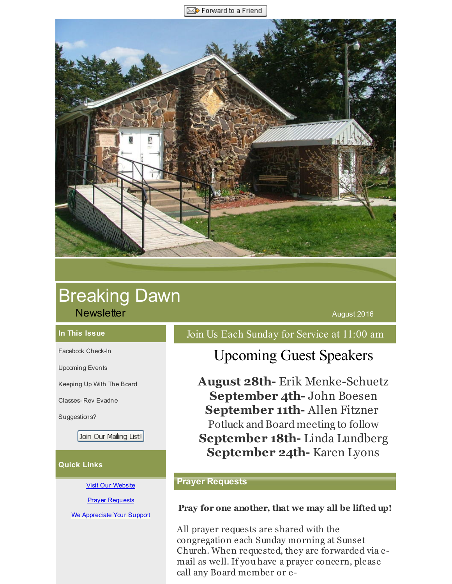Forward to a Friend

<span id="page-0-0"></span>

# Breaking Dawn **Newsletter August 2016 Newsletter** August 2016

#### **In This Issue**

[Facebook](#page-0-0) Check-In

[Upcoming](#page-0-0) Events

[Keeping](#page-0-0) Up With The Board

[Classes-](#page-0-0) Rev Evadne

[Suggestions?](#page-0-0)

Join Our Mailing List!

#### **Quick Links**

Visit Our [Website](http://r20.rs6.net/tn.jsp?f=00143zyEXcQuyKQFmzmgC0jF1CHqqQsOc3SWCa8bt7yBYRSAW8_yImhYhrRrxfaRP22NrqyuSCdQ35C89HH0-RXVEmVMemJiCVB-hc1n5WA3CjLTdI02Rj54OOjLdVzt8caLb5bfOf223nD42NB1gSlRxb6ksdjgQYCr-DZoxOX0y2ZLMo7LFobXQ==&c=&ch=)

**Prayer [Requests](http://r20.rs6.net/tn.jsp?f=00143zyEXcQuyKQFmzmgC0jF1CHqqQsOc3SWCa8bt7yBYRSAW8_yImhYupnjHWWuJIZzx0f5BOhRhr4ySOIBp8ntwOKzVMuMDsvucwGzReGA6TPkLOMhX6lv4YdSJc6Shs6YaDDrOu0V0hk3bh5z6PU5hyzjMLRnj8pDP7ZBLZy7ux-wT4t3PQa2VQofuHOPOzPWiV-I_whHSk=&c=&ch=)** 

We [Appreciate](http://r20.rs6.net/tn.jsp?f=00143zyEXcQuyKQFmzmgC0jF1CHqqQsOc3SWCa8bt7yBYRSAW8_yImhYuIEoPxQRcCvKQAFx4feyXD3ux1xrL_md3_F_-5cs4jqJSdTtkM5SF8OOf0y3Z2Sl7gs--p5N9Nod1We-5e0upQY6d52Wy7f1r9luwjIiLbwOqCdkHKkt-Gnt55J_UzSYTmVsBSt7yXydxtL2S6USTc=&c=&ch=) Your Support

Join Us Each Sunday for Service at 11:00 am

# Upcoming Guest Speakers

**August 28th-** Erik Menke-Schuetz **September 4th-** John Boesen **September 11th-** Allen Fitzner Potluck and Board meeting to follow **September 18th-** Linda Lundberg **September 24th-** Karen Lyons

### **Prayer Requests**

#### **Pray for one another, that we may all be lifted up!**

All prayer requests are shared with the congregation each Sunday morning at Sunset Church. When requested, they are forwarded via email as well. If you have a prayer concern, please call any Board member or e-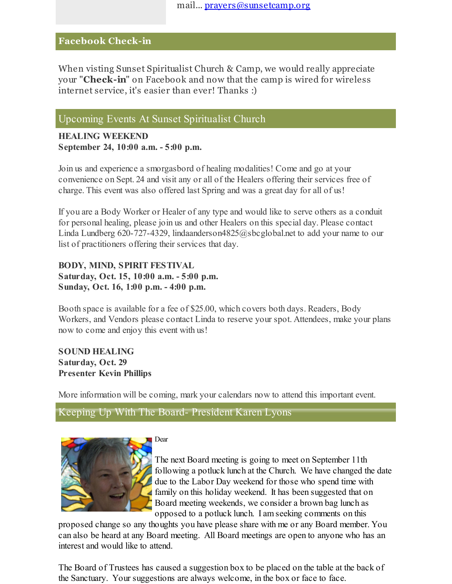## **Facebook Check-in**

When visting Sunset Spiritualist Church & Camp, we would really appreciate your "**Check-in**" on Facebook and now that the camp is wired for wireless internet service, it's easier than ever! Thanks :)

## Upcoming Events At Sunset Spiritualist Church

**HEALING WEEKEND September 24, 10:00 a.m. - 5:00 p.m.**

Join us and experience a smorgasbord of healing modalities! Come and go at your convenience on Sept. 24 and visit any or all of the Healers offering their services free of charge. This event was also offered last Spring and was a great day for all of us!

If you are a Body Worker or Healer of any type and would like to serve others as a conduit for personal healing, please join us and other Healers on this special day. Please contact Linda Lundberg 620-727-4329, lindaanderson4825@sbcglobal.net to add your name to our list of practitioners offering their services that day.

**BODY, MIND, SPIRIT FESTIVAL Saturday, Oct. 15, 10:00 a.m. - 5:00 p.m. Sunday, Oct. 16, 1:00 p.m. - 4:00 p.m.**

Booth space is available for a fee of \$25.00, which covers both days. Readers, Body Workers, and Vendors please contact Linda to reserve your spot. Attendees, make your plans now to come and enjoy this event with us!

### **SOUND HEALING Saturday, Oct. 29 Presenter Kevin Phillips**

More information will be coming, mark your calendars now to attend this important event.

Keeping Up With The Board- President Karen Lyons



Dear

The next Board meeting is going to meet on September 11th following a potluck lunch at the Church. We have changed the date due to the Labor Day weekend for those who spend time with family on this holiday weekend. It has been suggested that on Board meeting weekends, we consider a brown bag lunch as opposed to a potluck lunch. I am seeking comments on this

proposed change so any thoughts you have please share with me or any Board member. You can also be heard at any Board meeting. All Board meetings are open to anyone who has an interest and would like to attend.

The Board of Trustees has caused a suggestion box to be placed on the table at the back of the Sanctuary. Your suggestions are always welcome, in the box or face to face.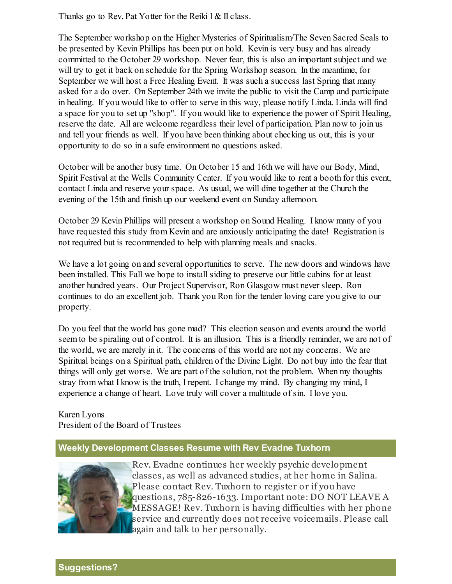Thanks go to Rev. Pat Yotter for the Reiki I & II class.

The September workshop on the Higher Mysteries of Spiritualism/The Seven Sacred Seals to be presented by Kevin Phillips has been put on hold. Kevin is very busy and has already committed to the October 29 workshop. Never fear, this is also an important subject and we will try to get it back on schedule for the Spring Workshop season. In the meantime, for September we will host a Free Healing Event. It was such a success last Spring that many asked for a do over. On September 24th we invite the public to visit the Camp and participate in healing. If you would like to offer to serve in this way, please notify Linda. Linda will find a space for you to set up "shop". If you would like to experience the power of Spirit Healing, reserve the date. All are welcome regardless their level of participation. Plan now to join us and tell your friends as well. If you have been thinking about checking us out, this is your opportunity to do so in a safe environment no questions asked.

October will be another busy time. On October 15 and 16th we will have our Body, Mind, Spirit Festival at the Wells Community Center. If you would like to rent a booth for this event, contact Linda and reserve your space. As usual, we will dine together at the Church the evening of the 15th and finish up our weekend event on Sunday afternoon.

October 29 Kevin Phillips will present a workshop on Sound Healing. I know many of you have requested this study from Kevin and are anxiously anticipating the date! Registration is not required but is recommended to help with planning meals and snacks.

We have a lot going on and several opportunities to serve. The new doors and windows have been installed. This Fall we hope to install siding to preserve our little cabins for at least another hundred years. Our Project Supervisor, Ron Glasgow must never sleep. Ron continues to do an excellent job. Thank you Ron for the tender loving care you give to our property.

Do you feel that the world has gone mad? This election season and events around the world seem to be spiraling out of control. It is an illusion. This is a friendly reminder, we are not of the world, we are merely in it. The concerns of this world are not my concerns. We are Spiritual beings on a Spiritual path, children of the Divine Light. Do not buy into the fear that things will only get worse. We are part of the solution, not the problem. When my thoughts stray from what I know is the truth, I repent. I change my mind. By changing my mind, I experience a change of heart. Love truly will cover a multitude of sin. I love you.

Karen Lyons President of the Board of Trustees

## **Weekly Development Classes Resume with Rev Evadne Tuxhorn**



Rev. Evadne continues her weekly psychic development classes, as well as advanced studies, at her home in Salina. Please contact Rev. Tuxhorn to register or if you have questions, 785-826-1633. Important note: DO NOT LEAVE A MESSAGE! Rev. Tuxhorn is having difficulties with her phone service and currently does not receive voicemails. Please call again and talk to her personally.

# **Suggestions?**